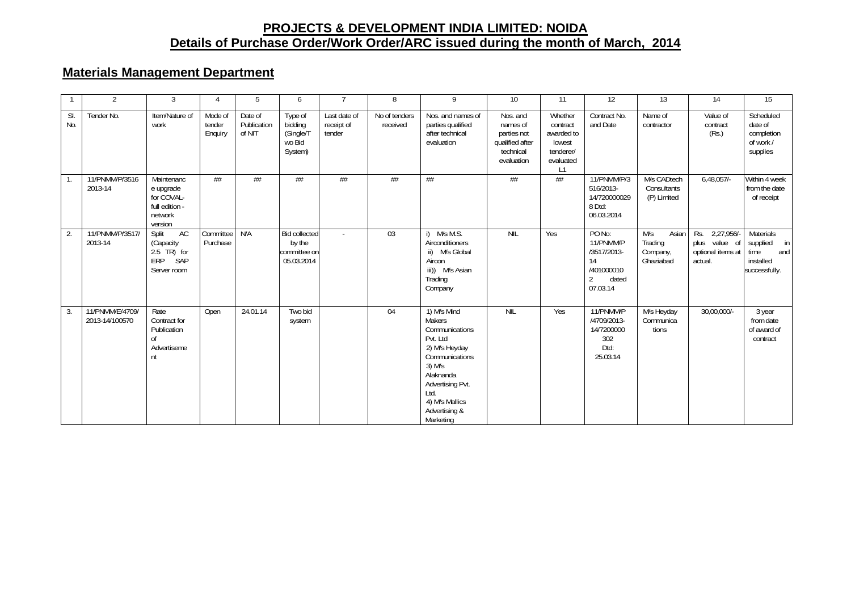## **PROJECTS & DEVELOPMENT INDIA LIMITED: NOIDA Details of Purchase Order/Work Order/ARC issued during the month of March, 2014**

## **Materials Management Department**

|            | $\overline{2}$                    | 3                                                                             | 4                            | 5                                | 6                                                            |                                      | 8                         | 9                                                                                                                                                                                           | 10 <sup>°</sup>                                                                   | 11                                                                          | 12                                                                                            | 13                                               | 14                                                              | 15                                                                       |
|------------|-----------------------------------|-------------------------------------------------------------------------------|------------------------------|----------------------------------|--------------------------------------------------------------|--------------------------------------|---------------------------|---------------------------------------------------------------------------------------------------------------------------------------------------------------------------------------------|-----------------------------------------------------------------------------------|-----------------------------------------------------------------------------|-----------------------------------------------------------------------------------------------|--------------------------------------------------|-----------------------------------------------------------------|--------------------------------------------------------------------------|
| SI.<br>No. | Tender No.                        | Item/Nature of<br>work                                                        | Mode of<br>tender<br>Enquiry | Date of<br>Publication<br>of NIT | Type of<br>bidding<br>(Single/T<br>wo Bid<br>System)         | Last date of<br>receipt of<br>tender | No of tenders<br>received | Nos. and names of<br>parties qualified<br>after technical<br>evaluation                                                                                                                     | Nos. and<br>names of<br>parties not<br>qualified after<br>technical<br>evaluation | Whether<br>contract<br>awarded to<br>lowest<br>tenderer/<br>evaluated<br>L1 | Contract No.<br>and Date                                                                      | Name of<br>contractor                            | Value of<br>contract<br>(Rs.)                                   | Scheduled<br>date of<br>completion<br>of work /<br>supplies              |
|            | 11/PNMM/P/3516<br>2013-14         | Maintenanc<br>e upgrade<br>for COVAL-<br>full edition -<br>network<br>version | ##                           | ##                               | #                                                            | #                                    | ##                        | ##                                                                                                                                                                                          | ##                                                                                | #                                                                           | 11/PNMM/P/3<br>516/2013-<br>14/720000029<br>8 Dtd:<br>06.03.2014                              | M/s CADtech<br>Consultants<br>(P) Limited        | 6,48,057                                                        | Within 4 week<br>from the date<br>of receipt                             |
| 2.         | 11/PNMM/P/3517<br>2013-14         | AC<br>Split<br>(Capacity<br>$2.5$ TR) for<br><b>ERP</b><br>SAP<br>Server room | Committee N/A<br>Purchase    |                                  | <b>Bid collected</b><br>by the<br>committee on<br>05.03.2014 |                                      | 03                        | M/s M.S.<br>Airconditioners<br>ii) M/s Global<br>Aircon<br>iii)) M/s Asian<br>Trading<br>Company                                                                                            | <b>NIL</b>                                                                        | Yes                                                                         | PO No:<br>11/PNMM/P<br>/3517/2013-<br>14<br>/401000010<br>$\overline{2}$<br>dated<br>07.03.14 | M/s<br>Asian<br>Trading<br>Company,<br>Ghaziabad | Rs. 2,27,956/-<br>plus value of<br>optional items at<br>actual. | Materials<br>supplied<br>in<br>and<br>time<br>installed<br>successfully. |
| 3.         | 11/PNMM/E/4709/<br>2013-14/100570 | Rate<br>Contract for<br>Publication<br>0f<br>Advertiseme<br>nt                | Open                         | 24.01.14                         | Two bid<br>system                                            |                                      | 04                        | 1) M/s Mind<br>Makers<br>Communications<br>Pvt. Ltd<br>2) M/s Heyday<br>Communications<br>$3)$ M/s<br>Alaknanda<br>Advertising Pvt.<br>Itd.<br>4) M/s Mallics<br>Advertising &<br>Marketing | NIL                                                                               | Yes                                                                         | 11/PNMM/P<br>/4709/2013-<br>14/7200000<br>302<br>Dtd:<br>25.03.14                             | M/s Heyday<br>Communica<br>tions                 | 30,00,000/-                                                     | 3 year<br>from date<br>of award of<br>contract                           |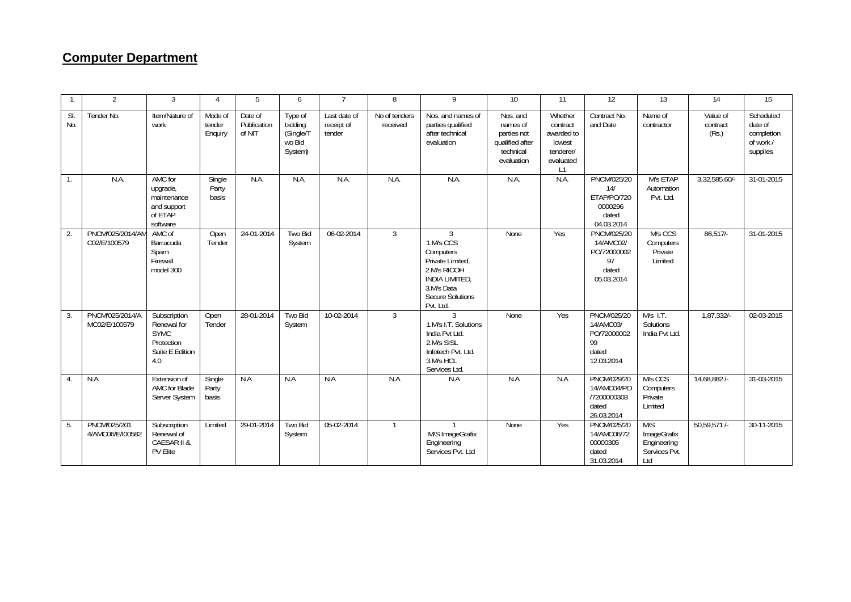## **Computer Department**

|                  | $\overline{\phantom{a}}$         | 3                                                                                  | 4                            | 5                                | 6                                                    |                                      | 8                         | 9                                                                                                                                                         | 10                                                                                | 11                                                                          | 12                                                                   | 13                                                        | 14                            | 15                                                          |
|------------------|----------------------------------|------------------------------------------------------------------------------------|------------------------------|----------------------------------|------------------------------------------------------|--------------------------------------|---------------------------|-----------------------------------------------------------------------------------------------------------------------------------------------------------|-----------------------------------------------------------------------------------|-----------------------------------------------------------------------------|----------------------------------------------------------------------|-----------------------------------------------------------|-------------------------------|-------------------------------------------------------------|
| SI.<br>No.       | Tender No.                       | Item/Nature of<br>work                                                             | Mode of<br>tender<br>Enquiry | Date of<br>Publication<br>of NIT | Type of<br>bidding<br>(Single/T<br>wo Bid<br>System) | Last date of<br>receipt of<br>tender | No of tenders<br>received | Nos. and names of<br>parties qualified<br>after technical<br>evaluation                                                                                   | Nos. and<br>names of<br>parties not<br>qualified after<br>technical<br>evaluation | Whether<br>contract<br>awarded to<br>lowest<br>tenderer/<br>evaluated<br>L1 | Contract No.<br>and Date                                             | Name of<br>contractor                                     | Value of<br>contract<br>(Rs.) | Scheduled<br>date of<br>completion<br>of work /<br>supplies |
| $\mathbf{1}$ .   | N.A.                             | AMC for<br>upgrade,<br>maintenance<br>and support<br>of ETAP<br>software           | Single<br>Party<br>basis     | N.A.                             | N.A.                                                 | N.A.                                 | N.A                       | N.A                                                                                                                                                       | N.A.                                                                              | N.A.                                                                        | PNCM/025/20<br>14/<br>ETAP/PO/720<br>0000296<br>dated<br>04.03.2014  | M/s ETAP<br>Automation<br>Pvt. Ltd.                       | 3,32,585.60/-                 | 31-01-2015                                                  |
| 2.               | PNCM/025/2014/AM<br>C02/E/100579 | AMC of<br>Barracuda<br>Spam<br>Firewall<br>model 300                               | Open<br>Tender               | 24-01-2014                       | Two Bid<br>System                                    | 06-02-2014                           | 3                         | $\mathcal{L}$<br>1.M/s CCS<br>Computers<br>Private Limited.<br>2.M/s RICOH<br><b>INDIA LIMITED.</b><br>3.M/s Data<br><b>Secure Solutions</b><br>Pvt. Ltd. | None                                                                              | Yes                                                                         | PNCM/025/20<br>14/AMC02/<br>PO/72000002<br>97<br>dated<br>05.03.2014 | M/s CCS<br>Computers<br>Private<br>Limited                | $86,517/-$                    | 31-01-2015                                                  |
| 3.               | PNCM/025/2014/A<br>MC02/E/100579 | Subscription<br>Renewal for<br><b>SYMC</b><br>Protection<br>Suite E Edition<br>4.0 | Open<br>Tender               | 28-01-2014                       | Two Bid<br>System                                    | 10-02-2014                           | 3                         | $\overline{3}$<br>1.M/s I.T. Solutions<br>India Pvt Ltd.<br>2.M/s SISL<br>Infotech Pvt. Ltd.<br>3.M/s HCL<br>Services Ltd.                                | None                                                                              | Yes                                                                         | PNCM/025/20<br>14/AMC03/<br>PO/72000002<br>99<br>dated<br>12.03.2014 | $M/s$ I.T.<br>Solutions<br>India Pvt Ltd.                 | $1,87,332/-$                  | 02-03-2015                                                  |
| $\overline{4}$ . | N.A                              | Extension of<br>AMC for Blade<br>Server System                                     | Single<br>Party<br>basis     | N.A                              | N.A                                                  | N.A                                  | N.A                       | N.A                                                                                                                                                       | N.A                                                                               | N.A                                                                         | PNCM/029/20<br>14/AMC04/PO<br>/7200000303<br>dated<br>26.03.2014     | M/s CCS<br>Computers<br>Private<br>Limited                | 14,68,882/-                   | 31-03-2015                                                  |
| 5.               | PNCM/025/201<br>4/AMC06/E/I00582 | Subscription<br>Renewal of<br>CAESAR II &<br>PV Elite                              | Limited                      | 29-01-2014                       | Two Bid<br>System                                    | 05-02-2014                           | $\mathbf{1}$              | M/S ImageGrafix<br>Engineering<br>Services Pvt. Ltd                                                                                                       | None                                                                              | Yes                                                                         | <b>PNCM/025/20</b><br>14/AMC06/72<br>00000305<br>dated<br>31.03.2014 | M/S<br>ImageGrafix<br>Engineering<br>Services Pvt.<br>Ltd | $50.59.571/-$                 | 30-11-2015                                                  |